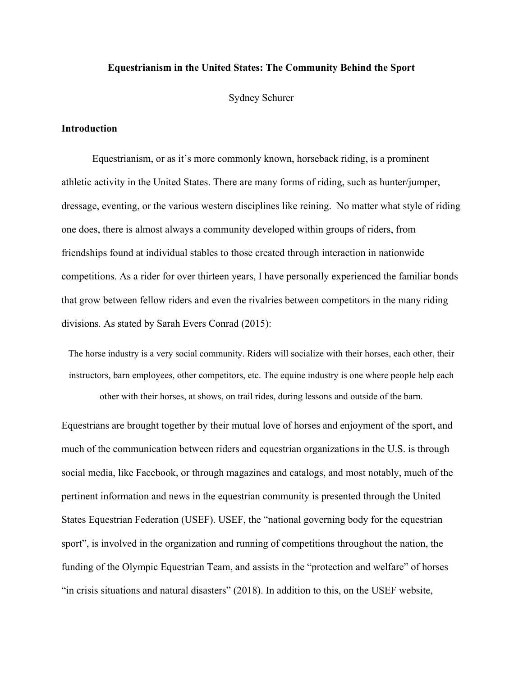# **Equestrianism in the United States: The Community Behind the Sport**

Sydney Schurer

# **Introduction**

 Equestrianism, or as it's more commonly known, horseback riding, is a prominent athletic activity in the United States. There are many forms of riding, such as hunter/jumper, dressage, eventing, or the various western disciplines like reining. No matter what style of riding one does, there is almost always a community developed within groups of riders, from friendships found at individual stables to those created through interaction in nationwide competitions. As a rider for over thirteen years, I have personally experienced the familiar bonds that grow between fellow riders and even the rivalries between competitors in the many riding divisions. As stated by Sarah Evers Conrad (2015):

The horse industry is a very social community. Riders will socialize with their horses, each other, their instructors, barn employees, other competitors, etc. The equine industry is one where people help each other with their horses, at shows, on trail rides, during lessons and outside of the barn.

Equestrians are brought together by their mutual love of horses and enjoyment of the sport, and much of the communication between riders and equestrian organizations in the U.S. is through social media, like Facebook, or through magazines and catalogs, and most notably, much of the pertinent information and news in the equestrian community is presented through the United States Equestrian Federation (USEF). USEF, the "national governing body for the equestrian sport", is involved in the organization and running of competitions throughout the nation, the funding of the Olympic Equestrian Team, and assists in the "protection and welfare" of horses "in crisis situations and natural disasters" (2018). In addition to this, on the USEF website,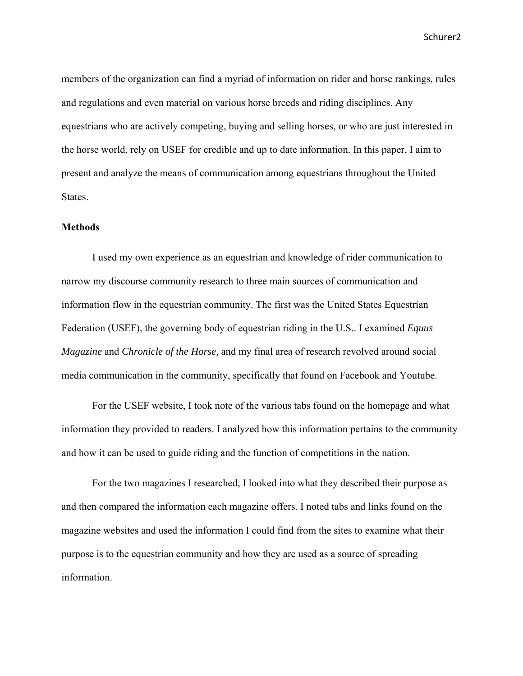members of the organization can find a myriad of information on rider and horse rankings, rules and regulations and even material on various horse breeds and riding disciplines. Any equestrians who are actively competing, buying and selling horses, or who are just interested in the horse world, rely on USEF for credible and up to date information. In this paper, I aim to present and analyze the means of communication among equestrians throughout the United States.

#### **Methods**

 I used my own experience as an equestrian and knowledge of rider communication to narrow my discourse community research to three main sources of communication and information flow in the equestrian community. The first was the United States Equestrian Federation (USEF), the governing body of equestrian riding in the U.S.. I examined *Equus Magazine* and *Chronicle of the Horse,* and my final area of research revolved around social media communication in the community, specifically that found on Facebook and Youtube.

 For the USEF website, I took note of the various tabs found on the homepage and what information they provided to readers. I analyzed how this information pertains to the community and how it can be used to guide riding and the function of competitions in the nation.

For the two magazines I researched, I looked into what they described their purpose as and then compared the information each magazine offers. I noted tabs and links found on the magazine websites and used the information I could find from the sites to examine what their purpose is to the equestrian community and how they are used as a source of spreading information.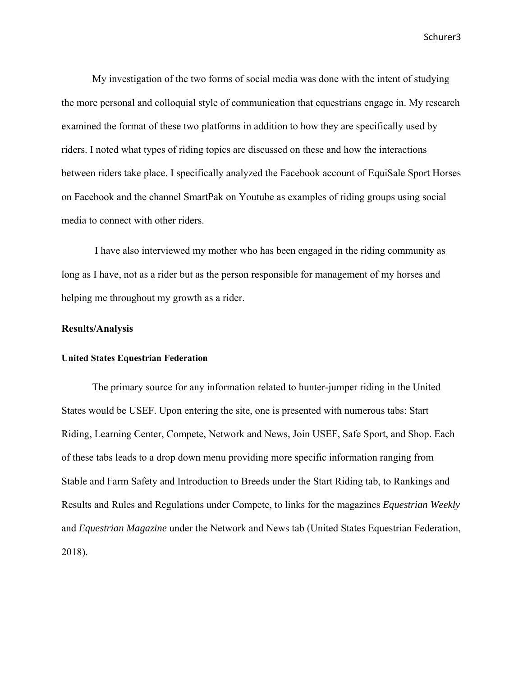Schurer3 (1999) 1999 - Schurer3 (1999) 1999 - Schurer3 (1999) 1999 - Schurer3 (1999) 1999 - Schurer3

 My investigation of the two forms of social media was done with the intent of studying the more personal and colloquial style of communication that equestrians engage in. My research examined the format of these two platforms in addition to how they are specifically used by riders. I noted what types of riding topics are discussed on these and how the interactions between riders take place. I specifically analyzed the Facebook account of EquiSale Sport Horses on Facebook and the channel SmartPak on Youtube as examples of riding groups using social media to connect with other riders.

 I have also interviewed my mother who has been engaged in the riding community as long as I have, not as a rider but as the person responsible for management of my horses and helping me throughout my growth as a rider.

# **Results/Analysis**

# **United States Equestrian Federation**

 The primary source for any information related to hunter-jumper riding in the United States would be USEF. Upon entering the site, one is presented with numerous tabs: Start Riding, Learning Center, Compete, Network and News, Join USEF, Safe Sport, and Shop. Each of these tabs leads to a drop down menu providing more specific information ranging from Stable and Farm Safety and Introduction to Breeds under the Start Riding tab, to Rankings and Results and Rules and Regulations under Compete, to links for the magazines *Equestrian Weekly* and *Equestrian Magazine* under the Network and News tab (United States Equestrian Federation, 2018).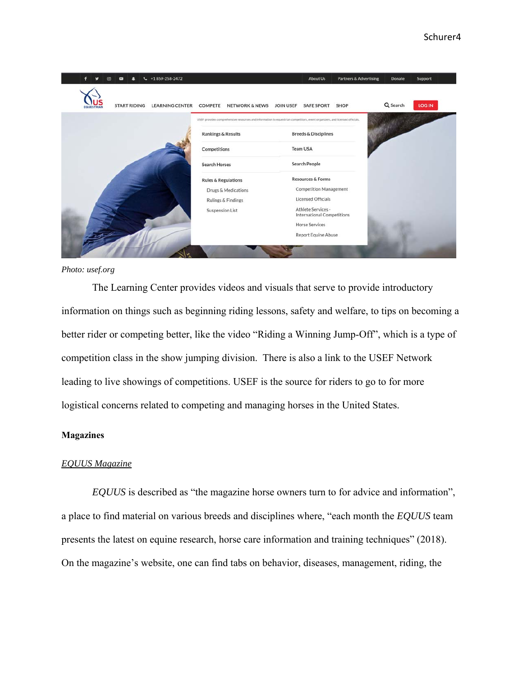

#### *Photo: usef.org*

 The Learning Center provides videos and visuals that serve to provide introductory information on things such as beginning riding lessons, safety and welfare, to tips on becoming a better rider or competing better, like the video "Riding a Winning Jump-Off", which is a type of competition class in the show jumping division. There is also a link to the USEF Network leading to live showings of competitions. USEF is the source for riders to go to for more logistical concerns related to competing and managing horses in the United States.

#### **Magazines**

#### *EQUUS Magazine*

 *EQUUS* is described as "the magazine horse owners turn to for advice and information", a place to find material on various breeds and disciplines where, "each month the *EQUUS* team presents the latest on equine research, horse care information and training techniques" (2018). On the magazine's website, one can find tabs on behavior, diseases, management, riding, the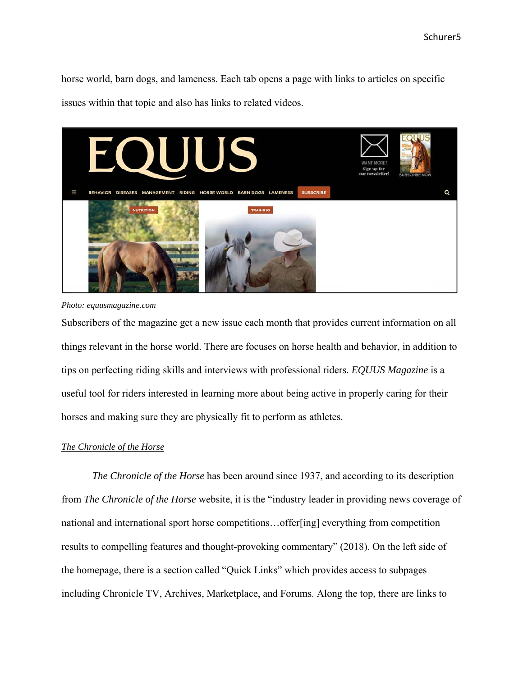horse world, barn dogs, and lameness. Each tab opens a page with links to articles on specific issues within that topic and also has links to related videos.



*Photo: equusmagazine.com* 

Subscribers of the magazine get a new issue each month that provides current information on all things relevant in the horse world. There are focuses on horse health and behavior, in addition to tips on perfecting riding skills and interviews with professional riders. *EQUUS Magazine* is a useful tool for riders interested in learning more about being active in properly caring for their horses and making sure they are physically fit to perform as athletes.

# *The Chronicle of the Horse*

 *The Chronicle of the Horse* has been around since 1937, and according to its description from *The Chronicle of the Horse* website, it is the "industry leader in providing news coverage of national and international sport horse competitions…offer[ing] everything from competition results to compelling features and thought-provoking commentary" (2018). On the left side of the homepage, there is a section called "Quick Links" which provides access to subpages including Chronicle TV, Archives, Marketplace, and Forums. Along the top, there are links to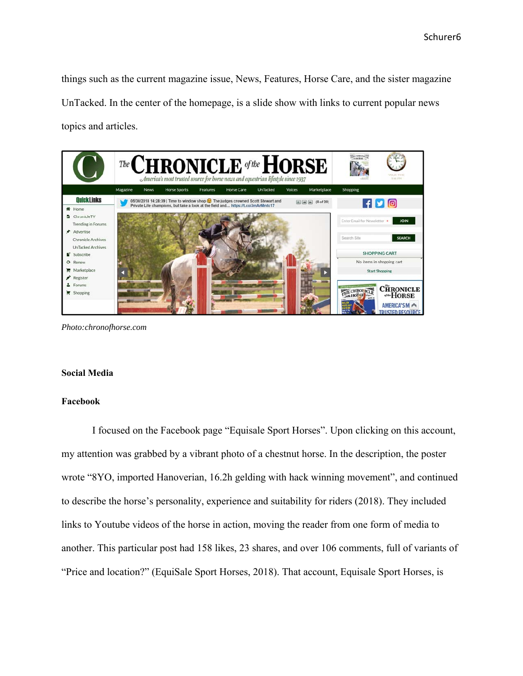things such as the current magazine issue, News, Features, Horse Care, and the sister magazine UnTacked. In the center of the homepage, is a slide show with links to current popular news topics and articles.



*Photo:chronofhorse.com* 

#### **Social Media**

#### **Facebook**

 I focused on the Facebook page "Equisale Sport Horses". Upon clicking on this account, my attention was grabbed by a vibrant photo of a chestnut horse. In the description, the poster wrote "8YO, imported Hanoverian, 16.2h gelding with hack winning movement", and continued to describe the horse's personality, experience and suitability for riders (2018). They included links to Youtube videos of the horse in action, moving the reader from one form of media to another. This particular post had 158 likes, 23 shares, and over 106 comments, full of variants of "Price and location?" (EquiSale Sport Horses, 2018). That account, Equisale Sport Horses, is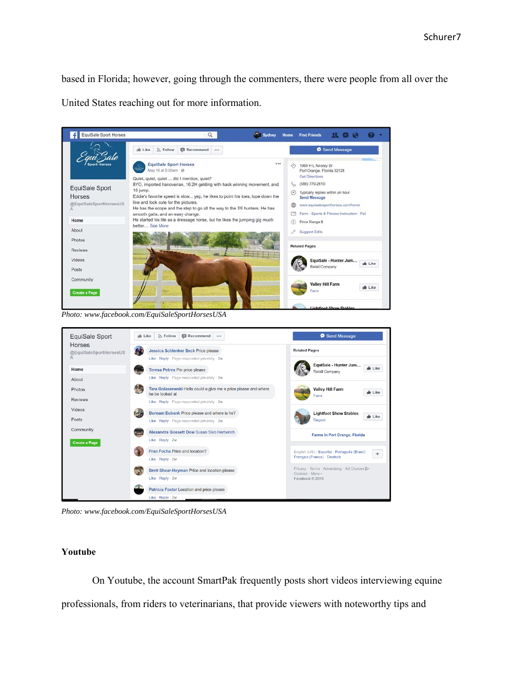based in Florida; however, going through the commenters, there were people from all over the United States reaching out for more information.



*Photo: www.facebook.com/EquiSaleSportHorsesUSA* 



*Photo: www.facebook.com/EquiSaleSportHorsesUSA* 

#### **Youtube**

 On Youtube, the account SmartPak frequently posts short videos interviewing equine professionals, from riders to veterinarians, that provide viewers with noteworthy tips and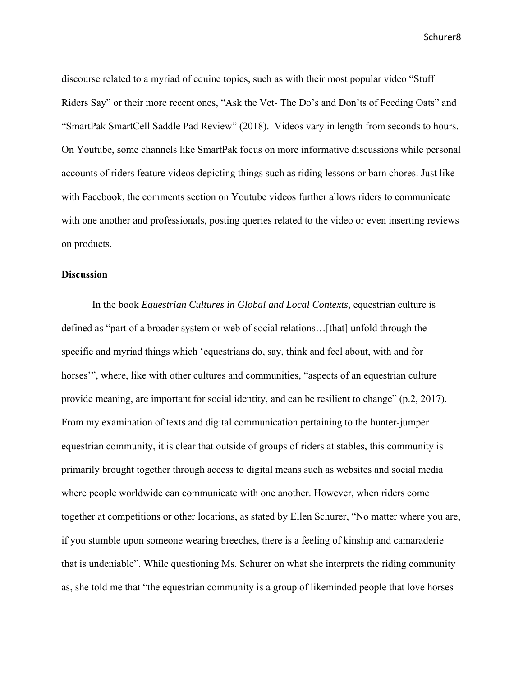discourse related to a myriad of equine topics, such as with their most popular video "Stuff Riders Say" or their more recent ones, "Ask the Vet- The Do's and Don'ts of Feeding Oats" and "SmartPak SmartCell Saddle Pad Review" (2018). Videos vary in length from seconds to hours. On Youtube, some channels like SmartPak focus on more informative discussions while personal accounts of riders feature videos depicting things such as riding lessons or barn chores. Just like with Facebook, the comments section on Youtube videos further allows riders to communicate with one another and professionals, posting queries related to the video or even inserting reviews on products.

# **Discussion**

 In the book *Equestrian Cultures in Global and Local Contexts,* equestrian culture is defined as "part of a broader system or web of social relations…[that] unfold through the specific and myriad things which 'equestrians do, say, think and feel about, with and for horses", where, like with other cultures and communities, "aspects of an equestrian culture provide meaning, are important for social identity, and can be resilient to change" (p.2, 2017). From my examination of texts and digital communication pertaining to the hunter-jumper equestrian community, it is clear that outside of groups of riders at stables, this community is primarily brought together through access to digital means such as websites and social media where people worldwide can communicate with one another. However, when riders come together at competitions or other locations, as stated by Ellen Schurer, "No matter where you are, if you stumble upon someone wearing breeches, there is a feeling of kinship and camaraderie that is undeniable". While questioning Ms. Schurer on what she interprets the riding community as, she told me that "the equestrian community is a group of likeminded people that love horses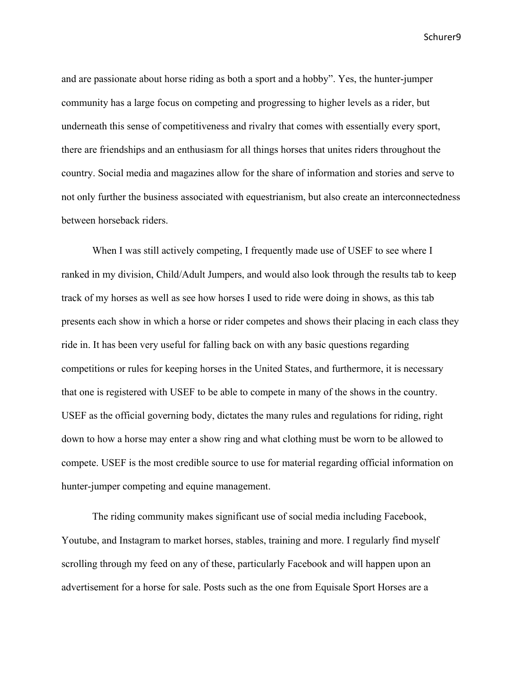and are passionate about horse riding as both a sport and a hobby". Yes, the hunter-jumper community has a large focus on competing and progressing to higher levels as a rider, but underneath this sense of competitiveness and rivalry that comes with essentially every sport, there are friendships and an enthusiasm for all things horses that unites riders throughout the country. Social media and magazines allow for the share of information and stories and serve to not only further the business associated with equestrianism, but also create an interconnectedness between horseback riders.

When I was still actively competing, I frequently made use of USEF to see where I ranked in my division, Child/Adult Jumpers, and would also look through the results tab to keep track of my horses as well as see how horses I used to ride were doing in shows, as this tab presents each show in which a horse or rider competes and shows their placing in each class they ride in. It has been very useful for falling back on with any basic questions regarding competitions or rules for keeping horses in the United States, and furthermore, it is necessary that one is registered with USEF to be able to compete in many of the shows in the country. USEF as the official governing body, dictates the many rules and regulations for riding, right down to how a horse may enter a show ring and what clothing must be worn to be allowed to compete. USEF is the most credible source to use for material regarding official information on hunter-jumper competing and equine management.

 The riding community makes significant use of social media including Facebook, Youtube, and Instagram to market horses, stables, training and more. I regularly find myself scrolling through my feed on any of these, particularly Facebook and will happen upon an advertisement for a horse for sale. Posts such as the one from Equisale Sport Horses are a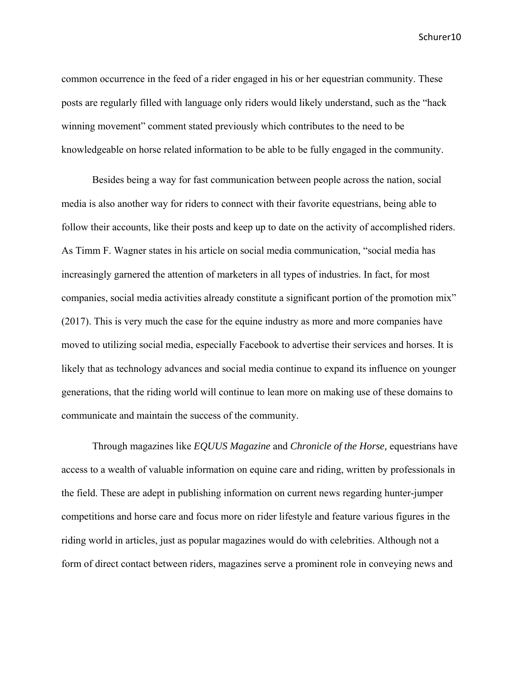common occurrence in the feed of a rider engaged in his or her equestrian community. These posts are regularly filled with language only riders would likely understand, such as the "hack winning movement" comment stated previously which contributes to the need to be knowledgeable on horse related information to be able to be fully engaged in the community.

 Besides being a way for fast communication between people across the nation, social media is also another way for riders to connect with their favorite equestrians, being able to follow their accounts, like their posts and keep up to date on the activity of accomplished riders. As Timm F. Wagner states in his article on social media communication, "social media has increasingly garnered the attention of marketers in all types of industries. In fact, for most companies, social media activities already constitute a significant portion of the promotion mix" (2017). This is very much the case for the equine industry as more and more companies have moved to utilizing social media, especially Facebook to advertise their services and horses. It is likely that as technology advances and social media continue to expand its influence on younger generations, that the riding world will continue to lean more on making use of these domains to communicate and maintain the success of the community.

 Through magazines like *EQUUS Magazine* and *Chronicle of the Horse,* equestrians have access to a wealth of valuable information on equine care and riding, written by professionals in the field. These are adept in publishing information on current news regarding hunter-jumper competitions and horse care and focus more on rider lifestyle and feature various figures in the riding world in articles, just as popular magazines would do with celebrities. Although not a form of direct contact between riders, magazines serve a prominent role in conveying news and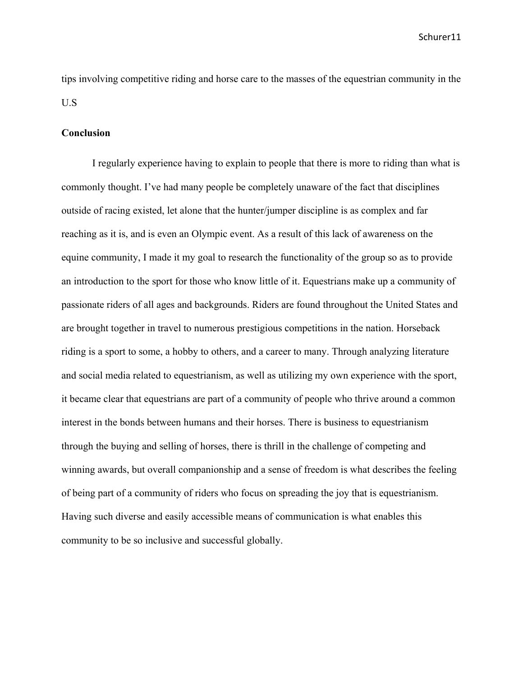tips involving competitive riding and horse care to the masses of the equestrian community in the U.S

#### **Conclusion**

 I regularly experience having to explain to people that there is more to riding than what is commonly thought. I've had many people be completely unaware of the fact that disciplines outside of racing existed, let alone that the hunter/jumper discipline is as complex and far reaching as it is, and is even an Olympic event. As a result of this lack of awareness on the equine community, I made it my goal to research the functionality of the group so as to provide an introduction to the sport for those who know little of it. Equestrians make up a community of passionate riders of all ages and backgrounds. Riders are found throughout the United States and are brought together in travel to numerous prestigious competitions in the nation. Horseback riding is a sport to some, a hobby to others, and a career to many. Through analyzing literature and social media related to equestrianism, as well as utilizing my own experience with the sport, it became clear that equestrians are part of a community of people who thrive around a common interest in the bonds between humans and their horses. There is business to equestrianism through the buying and selling of horses, there is thrill in the challenge of competing and winning awards, but overall companionship and a sense of freedom is what describes the feeling of being part of a community of riders who focus on spreading the joy that is equestrianism. Having such diverse and easily accessible means of communication is what enables this community to be so inclusive and successful globally.